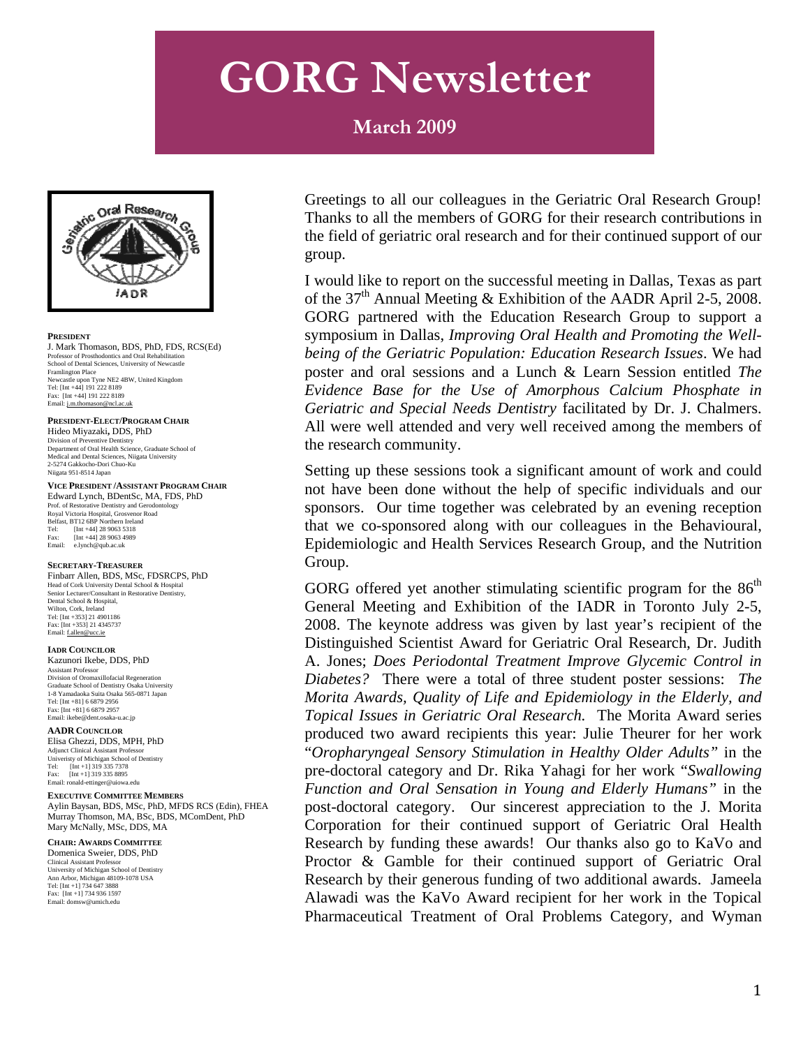#### **March 2009**



#### **PRESIDENT**

J. Mark Thomason, BDS, PhD, FDS, RCS(Ed) Professor of Prosthodontics and Oral Rehabilitation School of Dental Sciences, University of Newcastle Framlington Place Newcastle upon Tyne NE2 4BW, United Kingdom Tel: [Int +44] 191 222 8189 Fax: [Int +44] 191 222 8189 Email: [j.m.thomason@ncl.ac.uk](mailto:j.m.thomason@ncl.ac.uk)

#### **PRESIDENT-ELECT/PROGRAM CHAIR**

Hideo Miyazaki**,** DDS, PhD Division of Preventive Dentistry Department of Oral Health Science, Graduate School of Medical and Dental Sciences, Niigata University 2-5274 Gakkocho-Dori Chuo-Ku Niigata 951-8514 Japan

#### **VICE PRESIDENT /ASSISTANT PROGRAM CHAIR**

Edward Lynch, BDentSc, MA, FDS, PhD Prof. of Restorative Dentistry and Gerodontology Royal Victoria Hospital, Grosvenor Road Belfast, BT12 6BP Northern Ireland Tel: [Int +44] 28 9063 5318 Fax:  $[\text{Int } +44]$  28 9063 4989<br>Final:  $\text{elych@sub.ack}$ e.lynch@qub.ac.uk

#### **SECRETARY-TREASURER**

Finbarr Allen, BDS, MSc, FDSRCPS, PhD Head of Cork University Dental School & Hospital Senior Lecturer/Consultant in Restorative Dentistry, Dental School & Hospital, Wilton, Cork, Ireland Tel: [Int +353] 21 4901186 Fax: [Int +353] 21 4345737 Email: [f.allen@ucc.ie](mailto:f.allen@ucc.ie)

#### **IADR COUNCILOR** Kazunori Ikebe, DDS, PhD

Assistant Professor Division of Oromaxillofacial Regeneration Graduate School of Dentistry Osaka University 1-8 Yamadaoka Suita Osaka 565-0871 Japan Tel: [Int +81] 6 6879 2956 Fax: [Int +81] 6 6879 2957 Email: ikebe@dent.osaka-u.ac.jp

#### **AADR COUNCILOR**

Elisa Ghezzi, DDS, MPH, PhD Adjunct Clinical Assistant Professor Univeristy of Michigan School of Dentistry Tel: [Int +1] 319 335 7378 Fax: [Int +1] 319 335 8895 Email: ronald-ettinger@uiowa.edu

#### **EXECUTIVE COMMITTEE MEMBERS**

Aylin Baysan, BDS, MSc, PhD, MFDS RCS (Edin), FHEA Murray Thomson, MA, BSc, BDS, MComDent, PhD Mary McNally, MSc, DDS, MA

#### **CHAIR: AWARDS COMMITTEE** Domenica Sweier, DDS, PhD

Clinical Assistant Professor University of Michigan School of Dentistry Ann Arbor, Michigan 48109-1078 USA T el: [Int +1] 734 647 3888 F ax: [Int +1] 734 936 1597 Email: domsw@umich.edu

Greetings to all our colleagues in the Geriatric Oral Research Group! Thanks to all the members of GORG for their research contributions in the field of geriatric oral research and for their continued support of our group.

I would like to report on the successful meeting in Dallas, Texas as part of the  $37<sup>th</sup>$  Annual Meeting & Exhibition of the AADR April 2-5, 2008. GORG partnered with the Education Research Group to support a symposium in Dallas, *Improving Oral Health and Promoting the Wellbeing of the Geriatric Population: Education Research Issues*. We had poster and oral sessions and a Lunch & Learn Session entitled *The Evidence Base for the Use of Amorphous Calcium Phosphate in Geriatric and Special Needs Dentistry* facilitated by Dr. J. Chalmers. All were well attended and very well received among the members of the research community.

Setting up these sessions took a significant amount of work and could not have been done without the help of specific individuals and our sponsors. Our time together was celebrated by an evening reception that we co-sponsored along with our colleagues in the Behavioural, Epidemiologic and Health Services Research Group, and the Nutrition Group.

GORG offered yet another stimulating scientific program for the  $86<sup>th</sup>$ General Meeting and Exhibition of the IADR in Toronto July 2-5, 2008. The keynote address was given by last year's recipient of the Distinguished Scientist Award for Geriatric Oral Research, Dr. Judith A. Jones; *Does Periodontal Treatment Improve Glycemic Control in Diabetes?* There were a total of three student poster sessions: *The Morita Awards, Quality of Life and Epidemiology in the Elderly, and Topical Issues in Geriatric Oral Research.* The Morita Award series produced two award recipients this year: Julie Theurer for her work "*Oropharyngeal Sensory Stimulation in Healthy Older Adults"* in the pre-doctoral category and Dr. Rika Yahagi for her work "*Swallowing Function and Oral Sensation in Young and Elderly Humans"* in the post-doctoral category. Our sincerest appreciation to the J. Morita Corporation for their continued support of Geriatric Oral Health Research by funding these awards! Our thanks also go to KaVo and Proctor & Gamble for their continued support of Geriatric Oral Research by their generous funding of two additional awards. Jameela Alawadi was the KaVo Award recipient for her work in the Topical Pharmaceutical Treatment of Oral Problems Category, and Wyman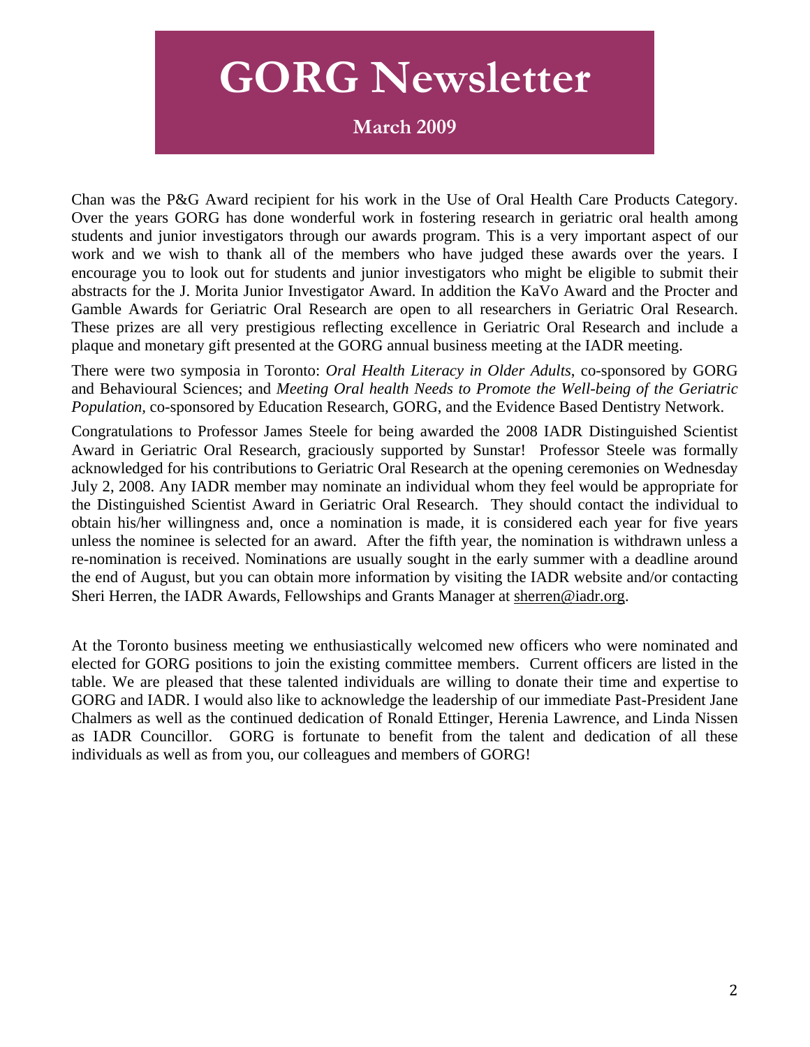**March 2009** 

Chan was the P&G Award recipient for his work in the Use of Oral Health Care Products Category. Over the years GORG has done wonderful work in fostering research in geriatric oral health among students and junior investigators through our awards program. This is a very important aspect of our work and we wish to thank all of the members who have judged these awards over the years. I encourage you to look out for students and junior investigators who might be eligible to submit their abstracts for the J. Morita Junior Investigator Award. In addition the KaVo Award and the Procter and Gamble Awards for Geriatric Oral Research are open to all researchers in Geriatric Oral Research. These prizes are all very prestigious reflecting excellence in Geriatric Oral Research and include a plaque and monetary gift presented at the GORG annual business meeting at the IADR meeting.

There were two symposia in Toronto: *Oral Health Literacy in Older Adults*, co-sponsored by GORG and Behavioural Sciences; and *Meeting Oral health Needs to Promote the Well-being of the Geriatric Population,* co-sponsored by Education Research, GORG, and the Evidence Based Dentistry Network.

Congratulations to Professor James Steele for being awarded the 2008 IADR Distinguished Scientist Award in Geriatric Oral Research, graciously supported by Sunstar! Professor Steele was formally acknowledged for his contributions to Geriatric Oral Research at the opening ceremonies on Wednesday July 2, 2008. Any IADR member may nominate an individual whom they feel would be appropriate for the Distinguished Scientist Award in Geriatric Oral Research. They should contact the individual to obtain his/her willingness and, once a nomination is made, it is considered each year for five years unless the nominee is selected for an award. After the fifth year, the nomination is withdrawn unless a re-nomination is received. Nominations are usually sought in the early summer with a deadline around the end of August, but you can obtain more information by visiting the IADR website and/or contacting Sheri Herren, the IADR Awards, Fellowships and Grants Manager at [sherren@iadr.org.](mailto:sherren@iadr.org)

At the Toronto business meeting we enthusiastically welcomed new officers who were nominated and elected for GORG positions to join the existing committee members. Current officers are listed in the table. We are pleased that these talented individuals are willing to donate their time and expertise to GORG and IADR. I would also like to acknowledge the leadership of our immediate Past-President Jane Chalmers as well as the continued dedication of Ronald Ettinger, Herenia Lawrence, and Linda Nissen as IADR Councillor. GORG is fortunate to benefit from the talent and dedication of all these individuals as well as from you, our colleagues and members of GORG!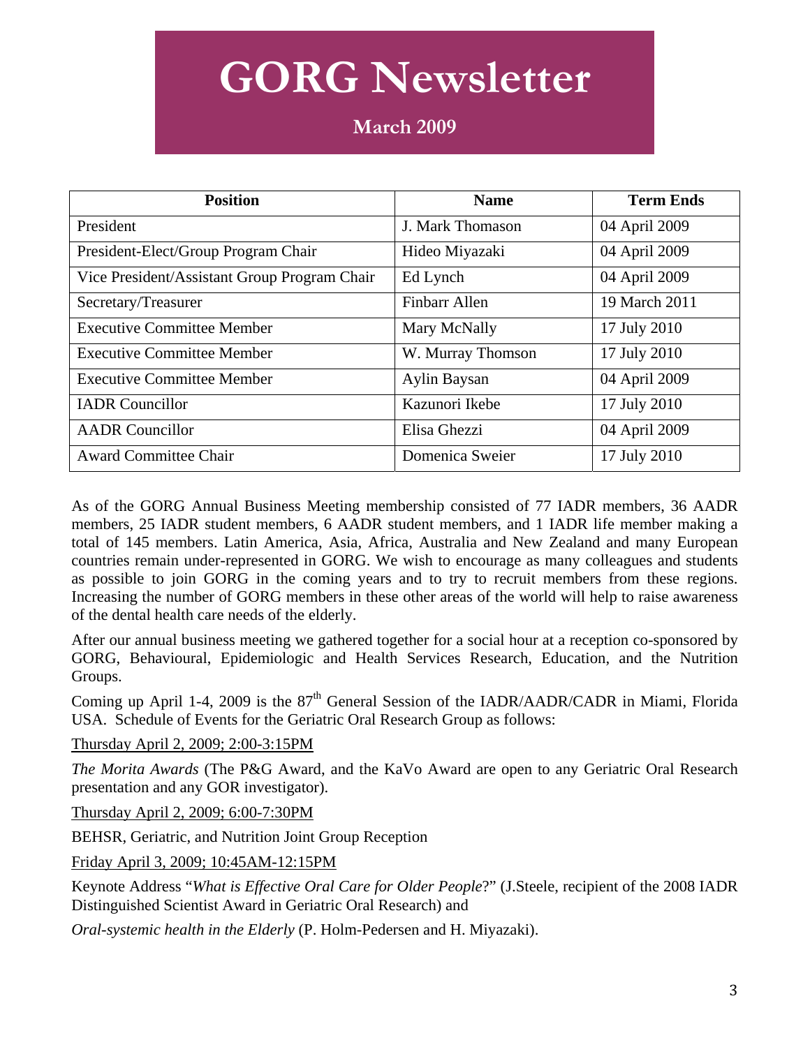| <b>Position</b>                              | <b>Name</b>          | <b>Term Ends</b> |
|----------------------------------------------|----------------------|------------------|
| President                                    | J. Mark Thomason     | 04 April 2009    |
| President-Elect/Group Program Chair          | Hideo Miyazaki       | 04 April 2009    |
| Vice President/Assistant Group Program Chair | Ed Lynch             | 04 April 2009    |
| Secretary/Treasurer                          | <b>Finbarr Allen</b> | 19 March 2011    |
| <b>Executive Committee Member</b>            | Mary McNally         | 17 July 2010     |
| <b>Executive Committee Member</b>            | W. Murray Thomson    | 17 July 2010     |
| <b>Executive Committee Member</b>            | Aylin Baysan         | 04 April 2009    |
| <b>IADR</b> Councillor                       | Kazunori Ikebe       | 17 July 2010     |
| <b>AADR</b> Councillor                       | Elisa Ghezzi         | 04 April 2009    |
| <b>Award Committee Chair</b>                 | Domenica Sweier      | 17 July 2010     |

As of the GORG Annual Business Meeting membership consisted of 77 IADR members, 36 AADR members, 25 IADR student members, 6 AADR student members, and 1 IADR life member making a total of 145 members. Latin America, Asia, Africa, Australia and New Zealand and many European countries remain under-represented in GORG. We wish to encourage as many colleagues and students as possible to join GORG in the coming years and to try to recruit members from these regions. Increasing the number of GORG members in these other areas of the world will help to raise awareness of the dental health care needs of the elderly.

After our annual business meeting we gathered together for a social hour at a reception co-sponsored by GORG, Behavioural, Epidemiologic and Health Services Research, Education, and the Nutrition Groups.

Coming up April 1-4, 2009 is the  $87<sup>th</sup>$  General Session of the IADR/AADR/CADR in Miami, Florida USA. Schedule of Events for the Geriatric Oral Research Group as follows:

Thursday April 2, 2009; 2:00-3:15PM

*The Morita Awards* (The P&G Award, and the KaVo Award are open to any Geriatric Oral Research presentation and any GOR investigator).

Thursday April 2, 2009; 6:00-7:30PM

BEHSR, Geriatric, and Nutrition Joint Group Reception

Friday April 3, 2009; 10:45AM-12:15PM

Keynote Address "*What is Effective Oral Care for Older People*?" (J.Steele, recipient of the 2008 IADR Distinguished Scientist Award in Geriatric Oral Research) and

*Oral-systemic health in the Elderly* (P. Holm-Pedersen and H. Miyazaki).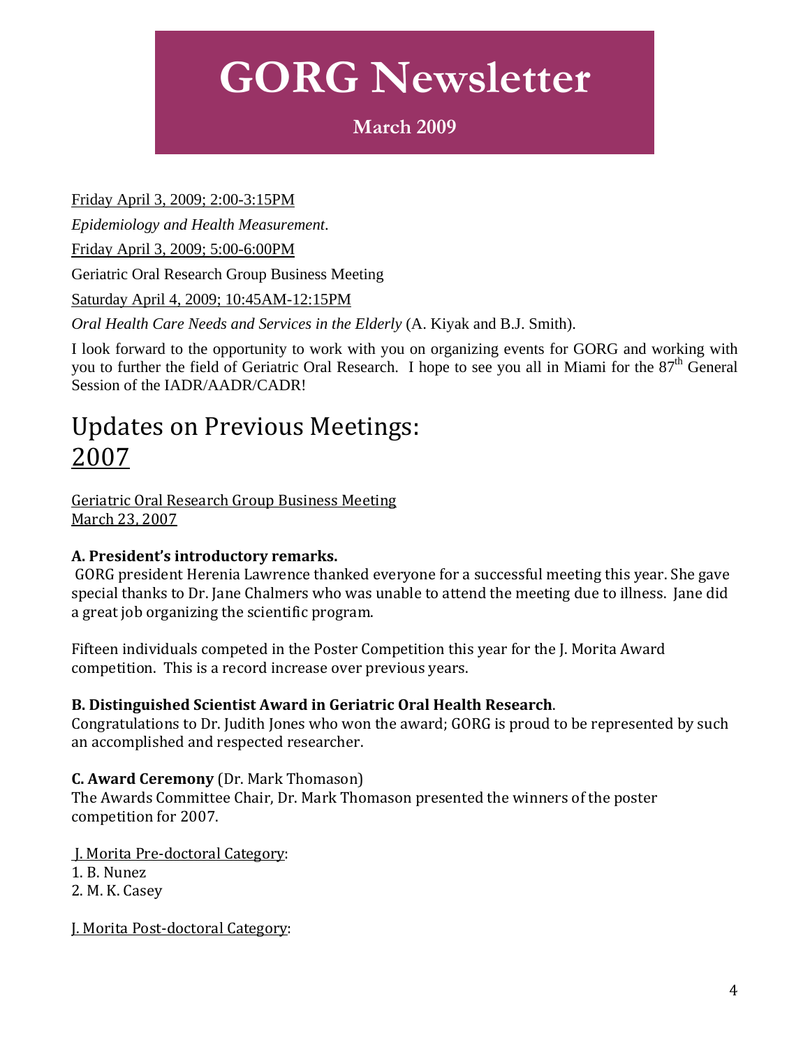### **March 2009**

Friday April 3, 2009; 2:00-3:15PM

*Epidemiology and Health Measurement*.

Friday April 3, 2009; 5:00-6:00PM

Geriatric Oral Research Group Business Meeting

Saturday April 4, 2009; 10:45AM-12:15PM

*Oral Health Care Needs and Services in the Elderly* (A. Kiyak and B.J. Smith).

I look forward to the opportunity to work with you on organizing events for GORG and working with you to further the field of Geriatric Oral Research. I hope to see you all in Miami for the  $87<sup>th</sup>$  General Session of the IADR/AADR/CADR!

### Updates on Previous Meetings: 2007

Geriatric Oral Research Group Business Meeting March 23, 2007

#### **A. President's introductory remarks.**

 GORG president Herenia Lawrence thanked everyone for a successful meeting this year. She gave special thanks to Dr. Jane Chalmers who was unable to attend the meeting due to illness. Jane did a great job organizing the scientific program.

Fifteen individuals competed in the Poster Competition this year for the J. Morita Award competition. This is a record increase over previous years.

#### **B. Distinguished Scientist Award in Geriatric Oral Health Research**.

Congratulations to Dr. Judith Jones who won the award; GORG is proud to be represented by such an accomplished and respected researcher.

#### **C. Award Ceremony** (Dr. Mark Thomason)

The Awards Committee Chair, Dr. Mark Thomason presented the winners of the poster competition for 2007.

J. Morita Pre‐doctoral Category:

1. B. Nunez

2. M. K. Casey

J. Morita Post‐doctoral Category: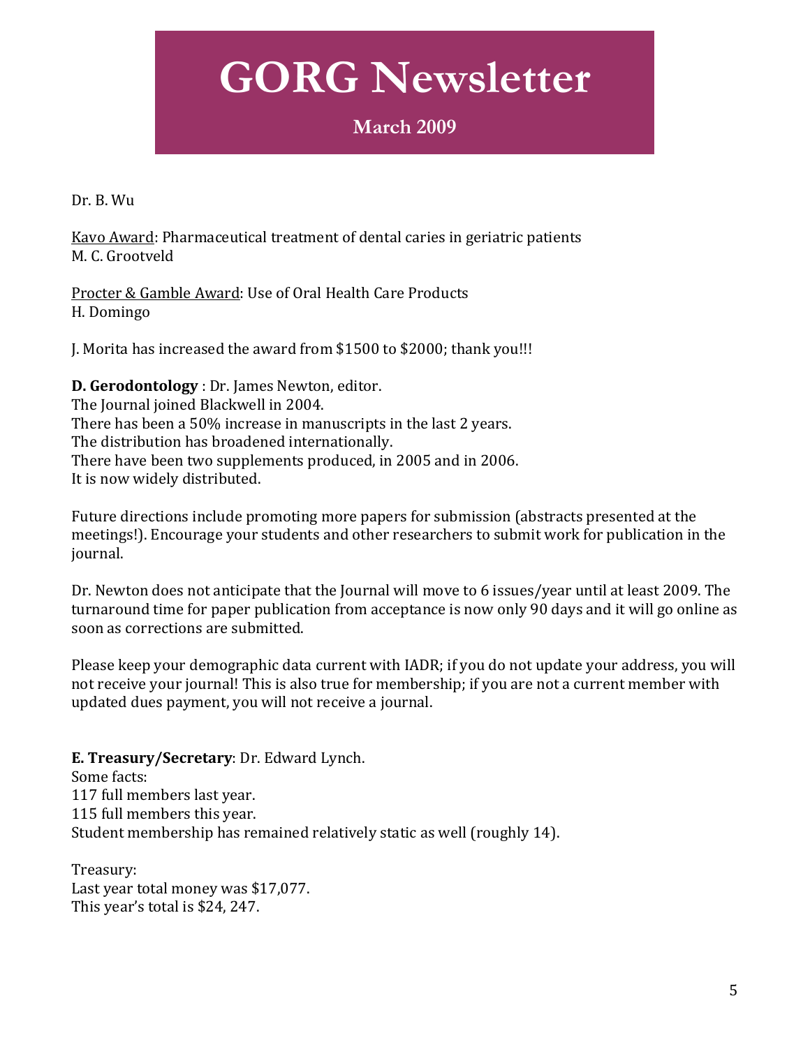### **March 2009**

Dr. B. Wu

Kavo Award: Pharmaceutical treatment of dental caries in geriatric patients M. C. Grootveld

Procter & Gamble Award: Use of Oral Health Care Products H. Domingo

J. Morita has increased the award from \$1500 to \$2000; thank you!!!

**D. Gerodontology** : Dr. James Newton, editor. The Journal joined Blackwell in 2004. There has been a 50% increase in manuscripts in the last 2 years. The distribution has broadened internationally. There have been two supplements produced, in 2005 and in 2006. It is now widely distributed.

Future directions include promoting more papers for submission (abstracts presented at the meetings!). Encourage your students and other researchers to submit work for publication in the journal.

Dr. Newton does not anticipate that the Journal will move to 6 issues/year until at least 2009. The turnaround time for paper publication from acceptance is now only 90 days and it will go online as soon as corrections are submitted.

Please keep your demographic data current with IADR; if you do not update your address, you will not receive your journal! This is also true for membership; if you are not a current member with pdated dues payment, you will not receive a journal. u

**E. Treasury/Secretary**: Dr. Edward Lynch. Some facts: 117 full members last year. 115 full members this year. Student membership has remained relatively static as well (roughly 14).

Last year total money was \$17,077. Treasury: This year's total is \$24, 247.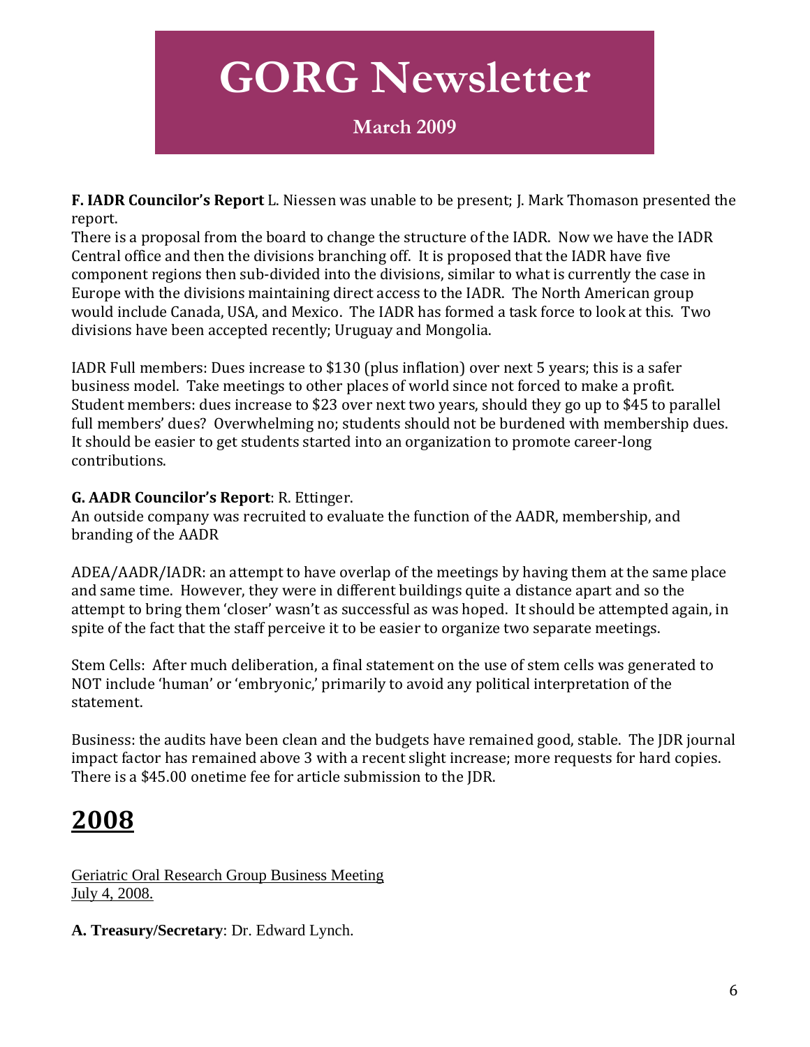### **March 2009**

**F. IADR Councilor's Report** L. Niessen was unable to be present; J. Mark Thomason presented the report.

There is a proposal from the board to change the structure of the IADR. Now we have the IADR Central office and then the divisions branching off. It is proposed that the IADR have five component regions then sub‐divided into the divisions, similar to what is currently the case in Europe with the divisions maintaining direct access to the IADR. The North American group would include Canada, USA, and Mexico. The IADR has formed a task force to look at this. Two divisions have been accepted recently; Uruguay and Mongolia.

IADR Full members: Dues increase to \$130 (plus inflation) over next 5 years; this is a safer business model. Take meetings to other places of world since not forced to make a profit. Student members: dues increase to \$23 over next two years, should they go up to \$45 to parallel full members' dues? Overwhelming no; students should not be burdened with membership dues. It should be easier to get students started into an organization to promote career-long ontributions. c

#### **G. AADR Councilor's Report**: R. Ettinger.

An outside company was recruited to evaluate the function of the AADR, membership, and branding of the AADR

ADEA/AADR/IADR: an attempt to have overlap of the meetings by having them at the same place and same time. However, they were in different buildings quite a distance apart and so the attempt to bring them 'closer' wasn't as successful as was hoped. It should be attempted again, in spite of the fact that the staff perceive it to be easier to organize two separate meetings.

Stem Cells: After much deliberation, a final statement on the use of stem cells was generated to NOT include 'human' or 'embryonic,' primarily to avoid any political interpretation of the statement.

Business: the audits have been clean and the budgets have remained good, stable. The JDR journal mpact factor has remained above 3 with a recent slight increase; more requests for hard copies. i here is a \$45.00 onetime fee for article submission to the JDR. T

### **2008**

Geriatric Oral Research Group Business Meeting July 4, 2008.

**A. Treasury/Secretary**: Dr. Edward Lynch.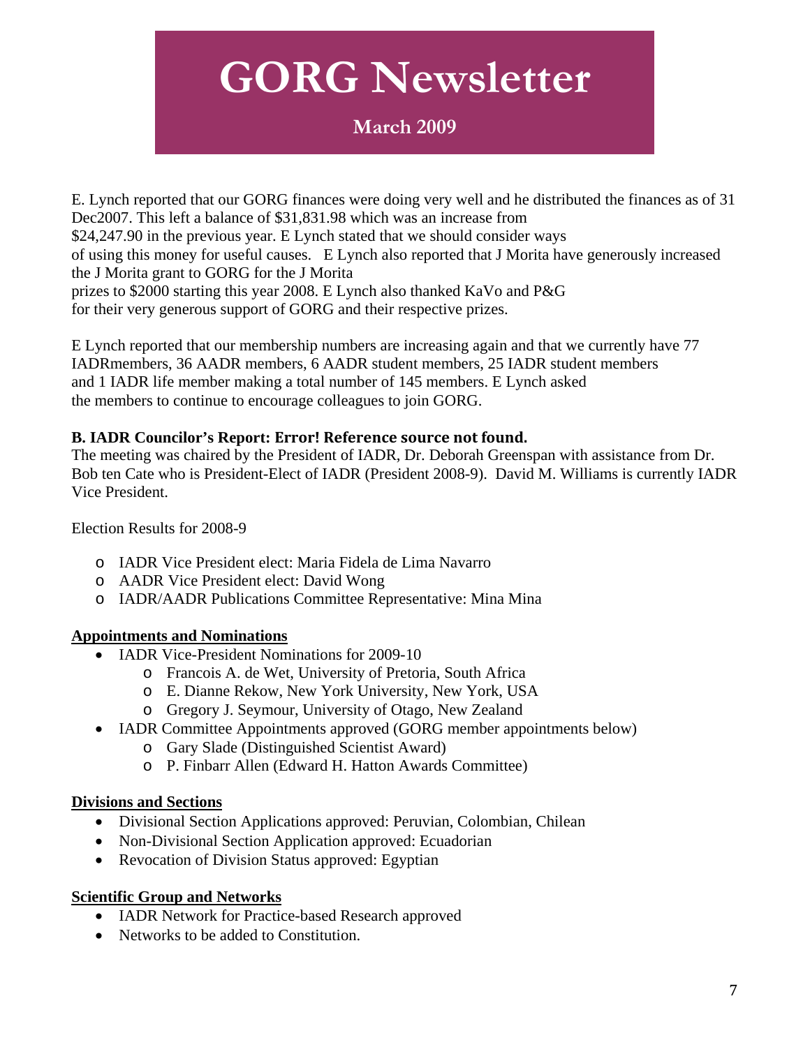### **March 2009**

E. Lynch reported that our GORG finances were doing very well and he distributed the finances as of 31 Dec2007. This left a balance of \$31,831.98 which was an increase from \$24,247.90 in the previous year. E Lynch stated that we should consider ways of using this money for useful causes. E Lynch also reported that J Morita have generously increased the J Morita grant to GORG for the J Morita prizes to \$2000 starting this year 2008. E Lynch also thanked KaVo and P&G for their very generous support of GORG and their respective prizes.

E Lynch reported that our membership numbers are increasing again and that we currently have 77 IADRmembers, 36 AADR members, 6 AADR student members, 25 IADR student members and 1 IADR life member making a total number of 145 members. E Lynch asked the members to continue to encourage colleagues to join GORG.

#### **B. IADR Councilor's Report: Error! Reference source not found.**

The meeting was chaired by the President of IADR, Dr. Deborah Greenspan with assistance from Dr. Bob ten Cate who is President-Elect of IADR (President 2008-9). David M. Williams is currently IADR Vice President.

Election Results for 2008-9

- o IADR Vice President elect: Maria Fidela de Lima Navarro
- o AADR Vice President elect: David Wong
- o IADR/AADR Publications Committee Representative: Mina Mina

#### **Appointments and Nominations**

- IADR Vice-President Nominations for 2009-10
	- o Francois A. de Wet, University of Pretoria, South Africa
	- o E. Dianne Rekow, New York University, New York, USA
	- o Gregory J. Seymour, University of Otago, New Zealand
- IADR Committee Appointments approved (GORG member appointments below)
	- o Gary Slade (Distinguished Scientist Award)
	- o P. Finbarr Allen (Edward H. Hatton Awards Committee)

#### **Divisions and Sections**

- Divisional Section Applications approved: Peruvian, Colombian, Chilean
- Non-Divisional Section Application approved: Ecuadorian
- Revocation of Division Status approved: Egyptian

#### **Scientific Group and Networks**

- IADR Network for Practice-based Research approved
- Networks to be added to Constitution.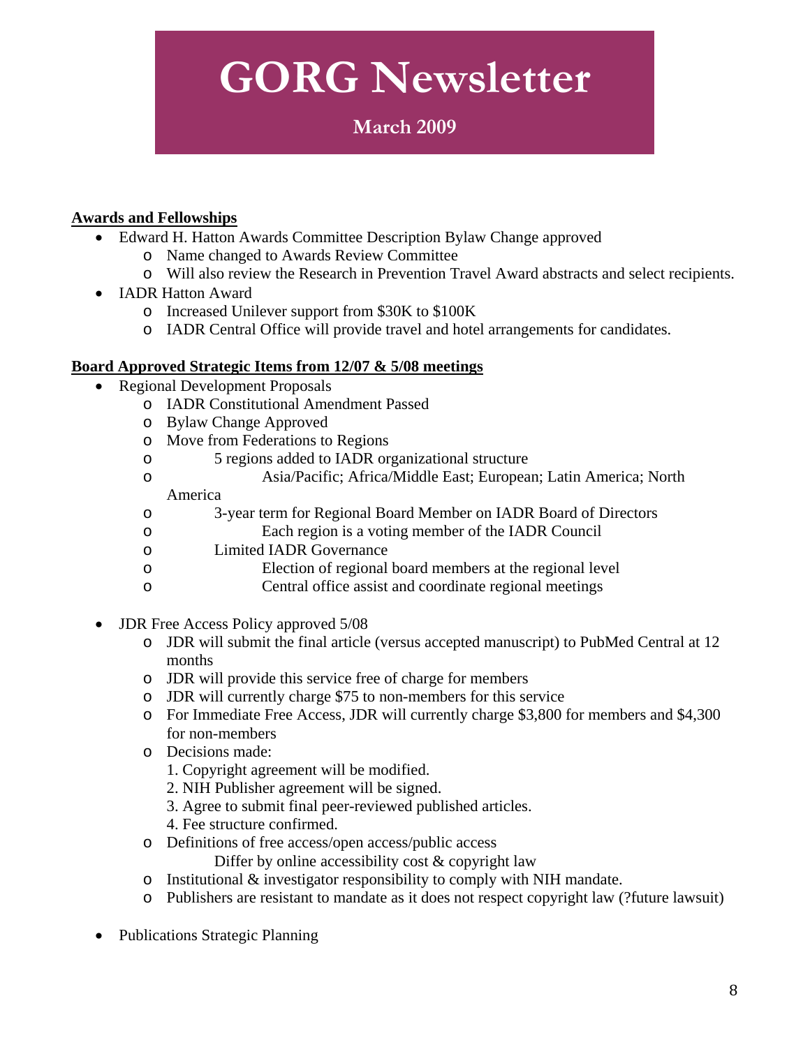### **March 2009**

#### **Awards and Fellowships**

- Edward H. Hatton Awards Committee Description Bylaw Change approved
	- o Name changed to Awards Review Committee
	- o Will also review the Research in Prevention Travel Award abstracts and select recipients.
- IADR Hatton Award
	- o Increased Unilever support from \$30K to \$100K
	- o IADR Central Office will provide travel and hotel arrangements for candidates.

#### **Board Approved Strategic Items from 12/07 & 5/08 meetings**

- Regional Development Proposals
	- o IADR Constitutional Amendment Passed
	- o Bylaw Change Approved
	- o Move from Federations to Regions
	- o 5 regions added to IADR organizational structure
	- o Asia/Pacific; Africa/Middle East; European; Latin America; North

#### America

- o 3-year term for Regional Board Member on IADR Board of Directors
- o Each region is a voting member of the IADR Council
- o Limited IADR Governance
- o Election of regional board members at the regional level
- o Central office assist and coordinate regional meetings
- JDR Free Access Policy approved 5/08
	- o JDR will submit the final article (versus accepted manuscript) to PubMed Central at 12 months
	- o JDR will provide this service free of charge for members
	- o JDR will currently charge \$75 to non-members for this service
	- o For Immediate Free Access, JDR will currently charge \$3,800 for members and \$4,300 for non-members
	- o Decisions made:
		- 1. Copyright agreement will be modified.
		- 2. NIH Publisher agreement will be signed.
		- 3. Agree to submit final peer-reviewed published articles.
		- 4. Fee structure confirmed.
	- o Definitions of free access/open access/public access

Differ by online accessibility cost & copyright law

- o Institutional & investigator responsibility to comply with NIH mandate.
- o Publishers are resistant to mandate as it does not respect copyright law (?future lawsuit)
- Publications Strategic Planning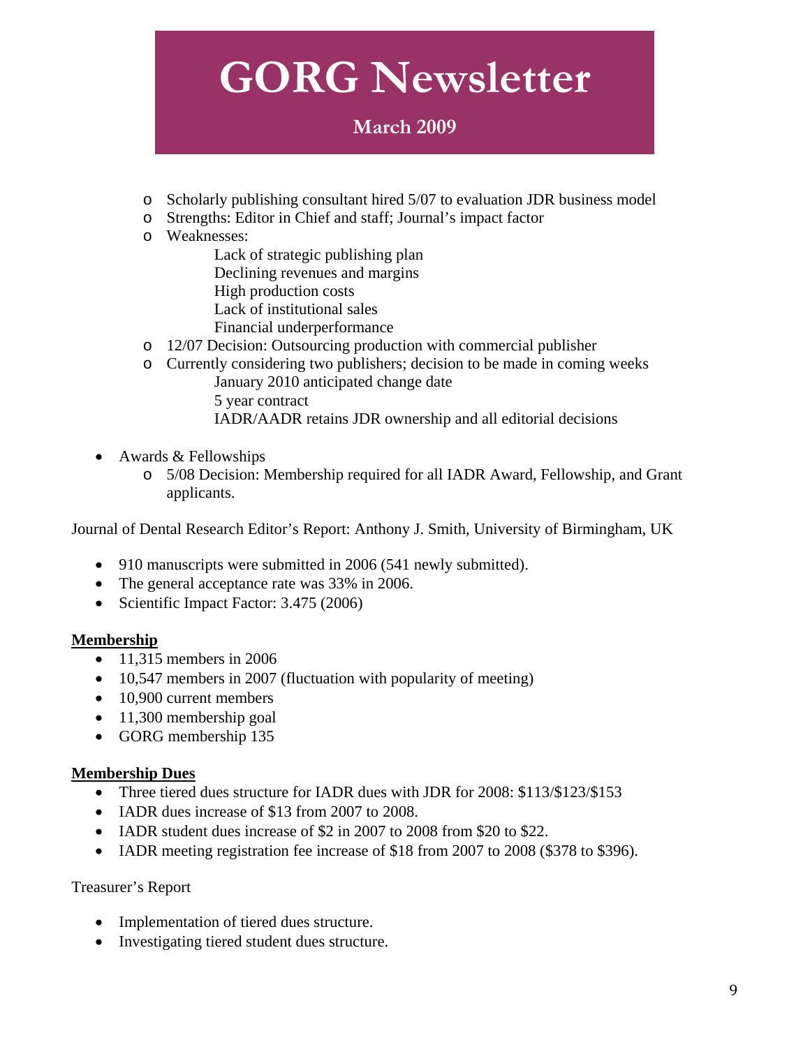### **March 2009**

- o Scholarly publishing consultant hired 5/07 to evaluation JDR business model
- o Strengths: Editor in Chief and staff; Journal's impact factor
- o Weaknesses:

 Lack of strategic publishing plan Declining revenues and margins High production costs Lack of institutional sales

- Financial underperformance
- o 12/07 Decision: Outsourcing production with commercial publisher
- o Currently considering two publishers; decision to be made in coming weeks January 2010 anticipated change date 5 year contract IADR/AADR retains JDR ownership and all editorial decisions
- Awards & Fellowships
	- o 5/08 Decision: Membership required for all IADR Award, Fellowship, and Grant applicants.

Journal of Dental Research Editor's Report: Anthony J. Smith, University of Birmingham, UK

- 910 manuscripts were submitted in 2006 (541 newly submitted).
- The general acceptance rate was 33% in 2006.
- Scientific Impact Factor: 3.475 (2006)

#### **Membership**

- 11,315 members in 2006
- 10,547 members in 2007 (fluctuation with popularity of meeting)
- 10,900 current members
- 11,300 membership goal
- GORG membership 135

#### **Membership Dues**

- Three tiered dues structure for IADR dues with JDR for 2008: \$113/\$123/\$153
- IADR dues increase of \$13 from 2007 to 2008.
- IADR student dues increase of \$2 in 2007 to 2008 from \$20 to \$22.
- IADR meeting registration fee increase of \$18 from 2007 to 2008 (\$378 to \$396).

#### Treasurer's Report

- Implementation of tiered dues structure.
- Investigating tiered student dues structure.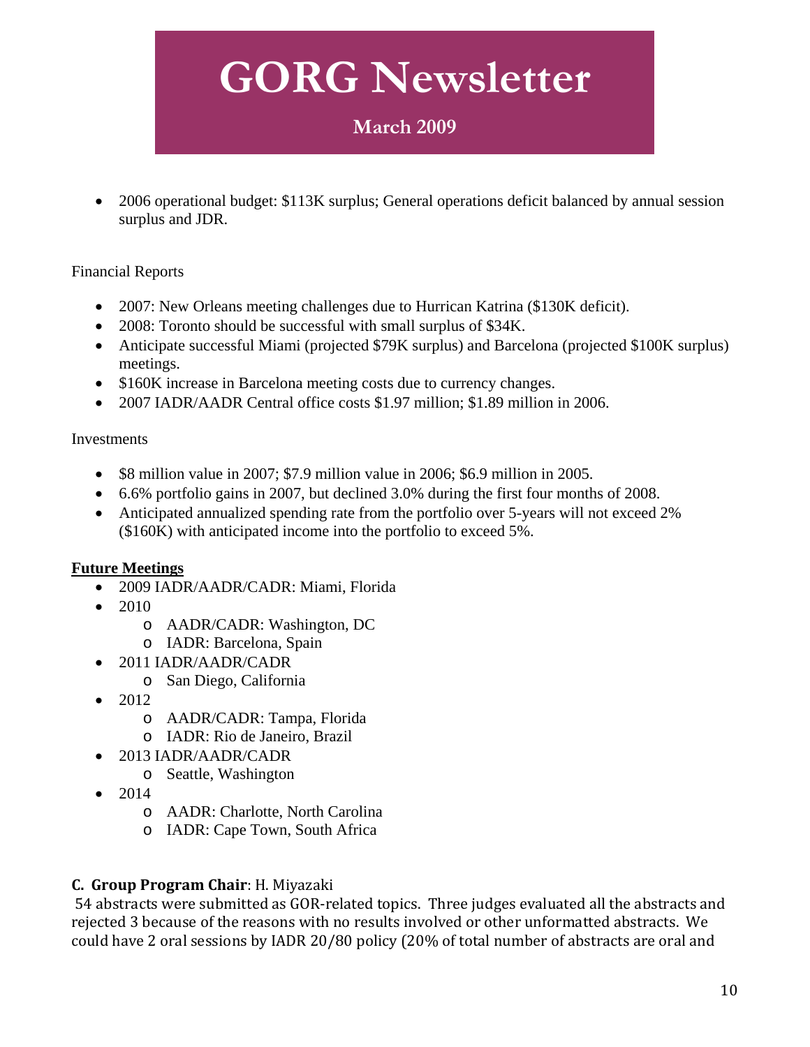### **March 2009**

• 2006 operational budget: \$113K surplus; General operations deficit balanced by annual session surplus and JDR.

#### Financial Reports

- 2007: New Orleans meeting challenges due to Hurrican Katrina (\$130K deficit).
- 2008: Toronto should be successful with small surplus of \$34K.
- Anticipate successful Miami (projected \$79K surplus) and Barcelona (projected \$100K surplus) meetings.
- \$160K increase in Barcelona meeting costs due to currency changes.
- 2007 IADR/AADR Central office costs \$1.97 million; \$1.89 million in 2006.

#### Investments

- \$8 million value in 2007; \$7.9 million value in 2006; \$6.9 million in 2005.
- 6.6% portfolio gains in 2007, but declined 3.0% during the first four months of 2008.
- Anticipated annualized spending rate from the portfolio over 5-years will not exceed 2% (\$160K) with anticipated income into the portfolio to exceed 5%.

#### **Future Meetings**

- 2009 IADR/AADR/CADR: Miami, Florida
- $\bullet$  2010
	- o AADR/CADR: Washington, DC
	- o IADR: Barcelona, Spain
- 2011 IADR/AADR/CADR
	- o San Diego, California
- 2012
	- o AADR/CADR: Tampa, Florida
	- o IADR: Rio de Janeiro, Brazil
- 2013 IADR/AADR/CADR
	- o Seattle, Washington
- 2014
	- o AADR: Charlotte, North Carolina
	- o IADR: Cape Town, South Africa

#### **C. Group Program Chair**: H. Miyazaki

 54 abstracts were submitted as GOR‐related topics. Three judges evaluated all the abstracts and rejected 3 because of the reasons with no results involved or other unformatted abstracts. We could have 2 oral sessions by IADR 20/80 policy (20% of total number of abstracts are oral and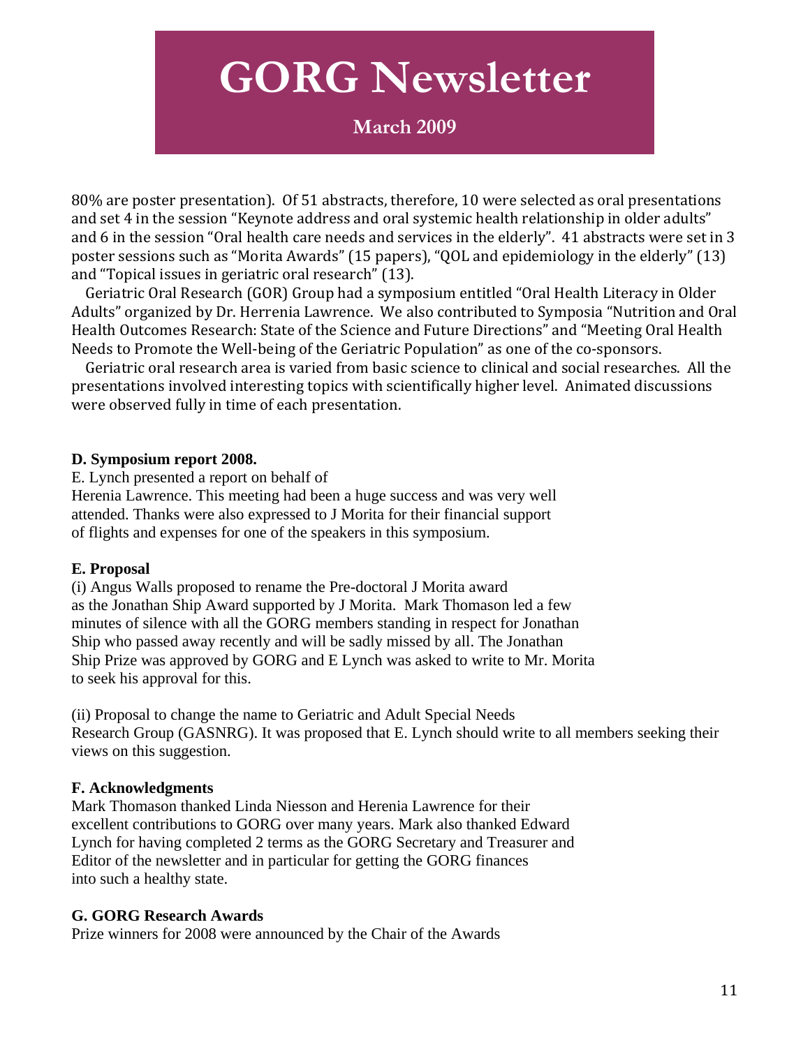### **March 2009**

80% are poster presentation). Of 51 abstracts, therefore, 10 were selected as oral presentations and set 4 in the session "Keynote address and oral systemic health relationship in older adults" and 6 in the session "Oral health care needs and services in the elderly". 41 abstracts were set in 3 poster sessions such as "Morita Awards" (15 papers), "QOL and epidemiology in the elderly" (13) and "Topical issues in geriatric oral research" (13).

 Geriatric Oral Research (GOR) Group had a symposium entitled "Oral Health Literacy in Older Adults" organized by Dr. Herrenia Lawrence. We also contributed to Symposia "Nutrition and Oral Health Outcomes Research: State of the Science and Future Directions" and "Meeting Oral Health Needs to Promote the Well‐being of the Geriatric Population" as one of the co‐sponsors.

 Geriatric oral research area is varied from basic science to clinical and social researches. All the presentations involved interesting topics with scientifically higher level. Animated discussions were observed fully in time of each presentation.

#### **D. Symposium report 2008.**

E. Lynch presented a report on behalf of Herenia Lawrence. This meeting had been a huge success and was very well attended. Thanks were also expressed to J Morita for their financial support of flights and expenses for one of the speakers in this symposium.

#### **E. Proposal**

(i) Angus Walls proposed to rename the Pre-doctoral J Morita award as the Jonathan Ship Award supported by J Morita. Mark Thomason led a few minutes of silence with all the GORG members standing in respect for Jonathan Ship who passed away recently and will be sadly missed by all. The Jonathan Ship Prize was approved by GORG and E Lynch was asked to write to Mr. Morita to seek his approval for this.

(ii) Proposal to change the name to Geriatric and Adult Special Needs Research Group (GASNRG). It was proposed that E. Lynch should write to all members seeking their views on this suggestion.

#### **F. Acknowledgments**

Mark Thomason thanked Linda Niesson and Herenia Lawrence for their excellent contributions to GORG over many years. Mark also thanked Edward Lynch for having completed 2 terms as the GORG Secretary and Treasurer and Editor of the newsletter and in particular for getting the GORG finances into such a healthy state.

#### **G. GORG Research Awards**

Prize winners for 2008 were announced by the Chair of the Awards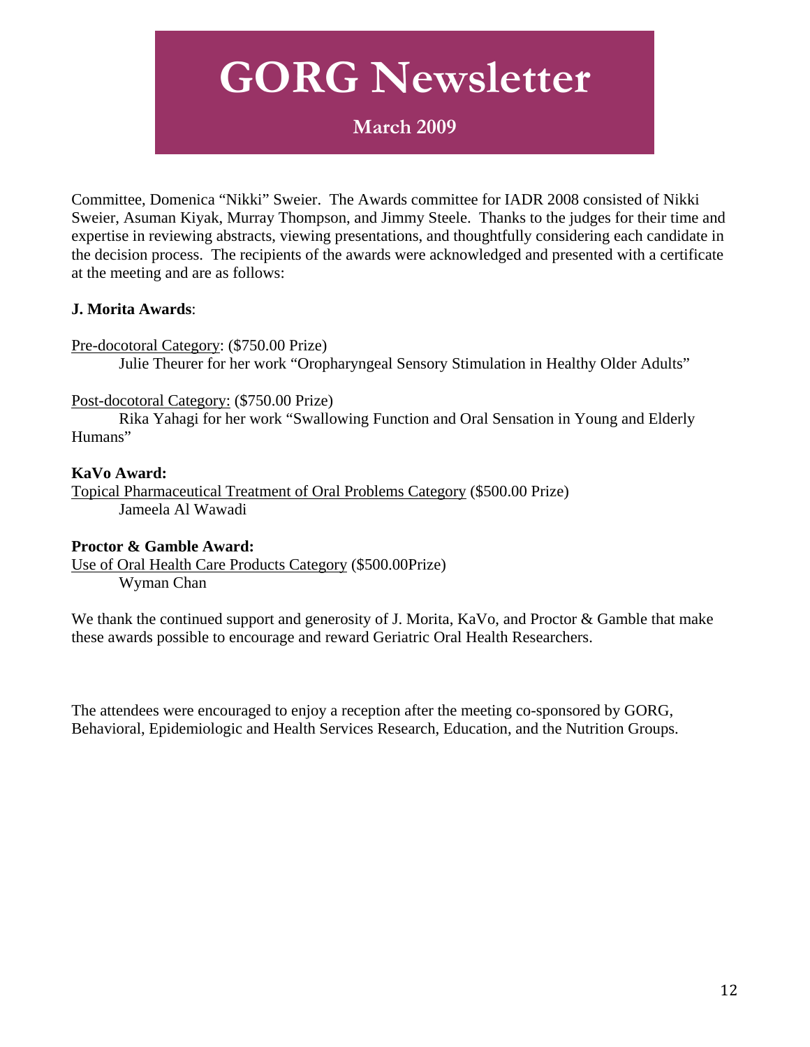### **March 2009**

Committee, Domenica "Nikki" Sweier. The Awards committee for IADR 2008 consisted of Nikki Sweier, Asuman Kiyak, Murray Thompson, and Jimmy Steele. Thanks to the judges for their time and expertise in reviewing abstracts, viewing presentations, and thoughtfully considering each candidate in the decision process. The recipients of the awards were acknowledged and presented with a certificate at the meeting and are as follows:

#### **J. Morita Awards**:

Pre-docotoral Category: (\$750.00 Prize)

Julie Theurer for her work "Oropharyngeal Sensory Stimulation in Healthy Older Adults"

#### Post-docotoral Category: (\$750.00 Prize)

 Rika Yahagi for her work "Swallowing Function and Oral Sensation in Young and Elderly Humans"

#### **KaVo Award:**

Topical Pharmaceutical Treatment of Oral Problems Category (\$500.00 Prize) Jameela Al Wawadi

#### **Proctor & Gamble Award:**

Use of Oral Health Care Products Category (\$500.00Prize) Wyman Chan

We thank the continued support and generosity of J. Morita, KaVo, and Proctor & Gamble that make these awards possible to encourage and reward Geriatric Oral Health Researchers.

The attendees were encouraged to enjoy a reception after the meeting co-sponsored by GORG, Behavioral, Epidemiologic and Health Services Research, Education, and the Nutrition Groups.